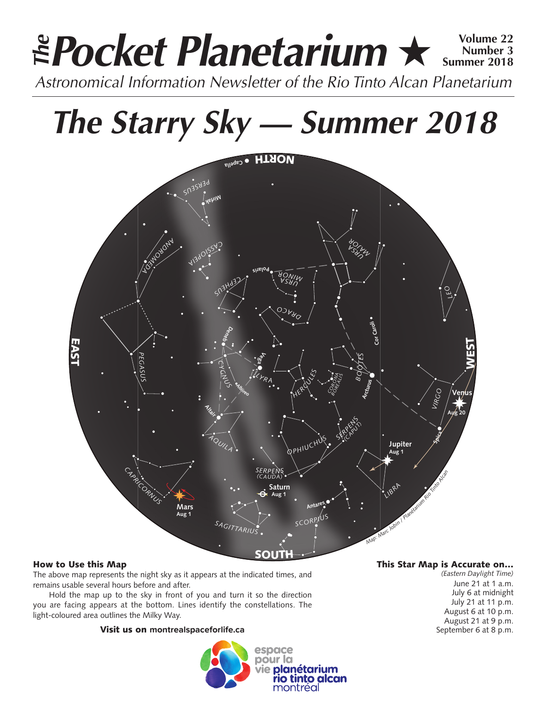### **Pocket Planetarium ★ 
Number 3 Number 3 Summer 2018** *Astronomical Information Newsletter of the Rio Tinto Alcan Planetarium The*

# *The Starry Sky — Summer 2018*



### How to Use this Map

The above map represents the night sky as it appears at the indicated times, and remains usable several hours before and after.

Hold the map up to the sky in front of you and turn it so the direction you are facing appears at the bottom. Lines identify the constellations. The light-coloured area outlines the Milky Way.

### Visit us on **montrealspaceforlife.ca**



### This Star Map is Accurate on…

*(Eastern Daylight Time)* June 21 at 1 a.m. July 6 at midnight July 21 at 11 p.m. August 6 at 10 p.m. August 21 at 9 p.m. September 6 at 8 p.m.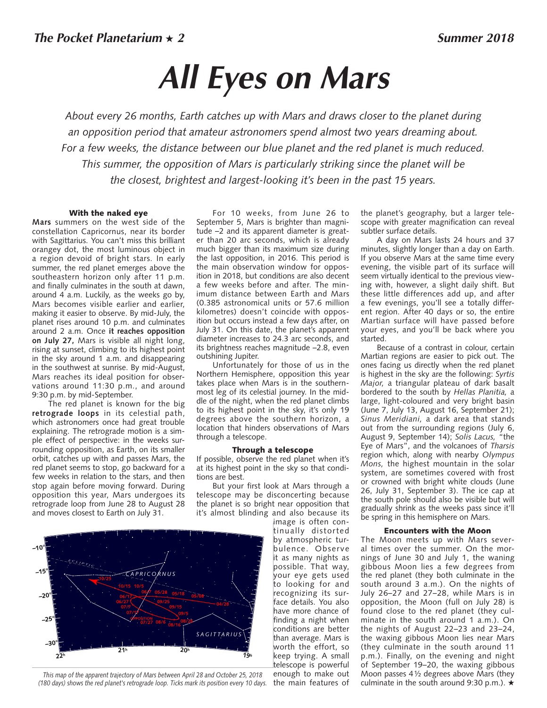## *All Eyes on Mars*

*About every 26 months, Earth catches up with Mars and draws closer to the planet during an opposition period that amateur astronomers spend almost two years dreaming about. For a few weeks, the distance between our blue planet and the red planet is much reduced. This summer, the opposition of Mars is particularly striking since the planet will be the closest, brightest and largest-looking it's been in the past 15 years.* 

### With the naked eye

**Mars** summers on the west side of the constellation Capricornus, near its border with Sagittarius. You can't miss this brilliant orangey dot, the most luminous object in a region devoid of bright stars. In early summer, the red planet emerges above the southeastern horizon only after 11 p.m. and finally culminates in the south at dawn, around 4 a.m. Luckily, as the weeks go by, Mars becomes visible earlier and earlier, making it easier to observe. By mid-July, the planet rises around 10 p.m. and culminates around 2 a.m. Once **it reaches opposition on July 27,** Mars is visible all night long, rising at sunset, climbing to its highest point in the sky around 1 a.m. and disappearing in the southwest at sunrise. By mid-August, Mars reaches its ideal position for observations around 11:30 p.m., and around 9:30 p.m. by mid-September.

The red planet is known for the big **retrograde loops** in its celestial path, which astronomers once had great trouble explaining. The retrograde motion is a simple effect of perspective: in the weeks surrounding opposition, as Earth, on its smaller orbit, catches up with and passes Mars, the red planet seems to stop, go backward for a few weeks in relation to the stars, and then stop again before moving forward. During opposition this year, Mars undergoes its retrograde loop from June 28 to August 28 and moves closest to Earth on July 31.

For 10 weeks, from June 26 to September 5, Mars is brighter than magnitude –2 and its apparent diameter is greater than 20 arc seconds, which is already much bigger than its maximum size during the last opposition, in 2016. This period is the main observation window for opposition in 2018, but conditions are also decent a few weeks before and after. The minimum distance between Earth and Mars (0.385 astronomical units or 57.6 million kilometres) doesn't coincide with opposition but occurs instead a few days after, on July 31. On this date, the planet's apparent diameter increases to 24.3 arc seconds, and its brightness reaches magnitude –2.8, even outshining Jupiter.

Unfortunately for those of us in the Northern Hemisphere, opposition this year takes place when Mars is in the southernmost leg of its celestial journey. In the middle of the night, when the red planet climbs to its highest point in the sky, it's only 19 degrees above the southern horizon, a location that hinders observations of Mars through a telescope.

#### Through a telescope

If possible, observe the red planet when it's at its highest point in the sky so that conditions are best.

But your first look at Mars through a telescope may be disconcerting because the planet is so bright near opposition that it's almost blinding and also because its

image is often continually distorted by atmospheric turbulence. Observe it as many nights as possible. That way, your eye gets used to looking for and recognizing its surface details. You also have more chance of finding a night when conditions are better than average. Mars is worth the effort, so keep trying. A small telescope is powerful enough to make out the main features of

the planet's geography, but a larger telescope with greater magnification can reveal subtler surface details.

A day on Mars lasts 24 hours and 37 minutes, slightly longer than a day on Earth. If you observe Mars at the same time every evening, the visible part of its surface will seem virtually identical to the previous viewing with, however, a slight daily shift. But these little differences add up, and after a few evenings, you'll see a totally different region. After 40 days or so, the entire Martian surface will have passed before your eyes, and you'll be back where you started.

Because of a contrast in colour, certain Martian regions are easier to pick out. The ones facing us directly when the red planet is highest in the sky are the following: *Syrtis Major,* a triangular plateau of dark basalt bordered to the south by *Hellas Planitia,* a large, light-coloured and very bright basin (June 7, July 13, August 16, September 21); *Sinus Meridiani,* a dark area that stands out from the surrounding regions (July 6, August 9, September 14); *Solis Lacus,* "the Eye of Mars", and the volcanoes of *Tharsis*  region which, along with nearby *Olympus Mons,* the highest mountain in the solar system, are sometimes covered with frost or crowned with bright white clouds (June 26, July 31, September 3). The ice cap at the south pole should also be visible but will gradually shrink as the weeks pass since it'll be spring in this hemisphere on Mars.

### Encounters with the Moon

The Moon meets up with Mars several times over the summer. On the mornings of June 30 and July 1, the waning gibbous Moon lies a few degrees from the red planet (they both culminate in the south around 3 a.m.). On the nights of July 26–27 and 27–28, while Mars is in opposition, the Moon (full on July 28) is found close to the red planet (they culminate in the south around 1 a.m.). On the nights of August 22–23 and 23–24, the waxing gibbous Moon lies near Mars (they culminate in the south around 11 p.m.). Finally, on the evening and night of September 19–20, the waxing gibbous Moon passes 4½ degrees above Mars (they culminate in the south around 9:30 p.m.).  $\star$ 



*This map of the apparent trajectory of Mars between April 28 and October 25, 2018 (180 days) shows the red planet's retrograde loop. Ticks mark its position every 10 days.*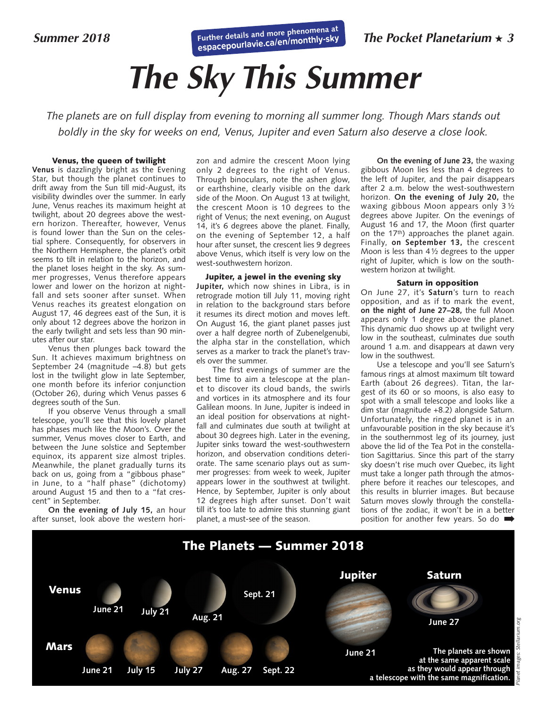**Further details and more phenomena at espacepour[lavie.ca/en/monthly-sky](http://espacepourlavie.ca/en/monthly-sky)** 

# *The Sky This Summer*

*The planets are on full display from evening to morning all summer long. Though Mars stands out boldly in the sky for weeks on end, Venus, Jupiter and even Saturn also deserve a close look.*

### Venus, the queen of twilight

**Venus** is dazzlingly bright as the Evening Star, but though the planet continues to drift away from the Sun till mid-August, its visibility dwindles over the summer. In early June, Venus reaches its maximum height at twilight, about 20 degrees above the western horizon. Thereafter, however, Venus is found lower than the Sun on the celestial sphere. Consequently, for observers in the Northern Hemisphere, the planet's orbit seems to tilt in relation to the horizon, and the planet loses height in the sky. As summer progresses, Venus therefore appears lower and lower on the horizon at nightfall and sets sooner after sunset. When Venus reaches its greatest elongation on August 17, 46 degrees east of the Sun, it is only about 12 degrees above the horizon in the early twilight and sets less than 90 minutes after our star.

Venus then plunges back toward the Sun. It achieves maximum brightness on September 24 (magnitude  $-4.\overline{8}$ ) but gets lost in the twilight glow in late September, one month before its inferior conjunction (October 26), during which Venus passes 6 degrees south of the Sun.

If you observe Venus through a small telescope, you'll see that this lovely planet has phases much like the Moon's. Over the summer, Venus moves closer to Earth, and between the June solstice and September equinox, its apparent size almost triples. Meanwhile, the planet gradually turns its back on us, going from a "gibbous phase" in June, to a "half phase" (dichotomy) around August 15 and then to a "fat crescent" in September.

**On the evening of July 15,** an hour after sunset, look above the western hori-

zon and admire the crescent Moon lying only 2 degrees to the right of Venus. Through binoculars, note the ashen glow, or earthshine, clearly visible on the dark side of the Moon. On August 13 at twilight, the crescent Moon is 10 degrees to the right of Venus; the next evening, on August 14, it's 6 degrees above the planet. Finally, on the evening of September 12, a half hour after sunset, the crescent lies 9 degrees above Venus, which itself is very low on the west-southwestern horizon.

#### Jupiter, a jewel in the evening sky

**Jupiter,** which now shines in Libra, is in retrograde motion till July 11, moving right in relation to the background stars before it resumes its direct motion and moves left. On August 16, the giant planet passes just over a half degree north of Zubenelgenubi, the alpha star in the constellation, which serves as a marker to track the planet's travels over the summer.

The first evenings of summer are the best time to aim a telescope at the planet to discover its cloud bands, the swirls and vortices in its atmosphere and its four Galilean moons. In June, Jupiter is indeed in an ideal position for observations at nightfall and culminates due south at twilight at about 30 degrees high. Later in the evening, Jupiter sinks toward the west-southwestern horizon, and observation conditions deteriorate. The same scenario plays out as summer progresses: from week to week, Jupiter appears lower in the southwest at twilight. Hence, by September, Jupiter is only about 12 degrees high after sunset. Don't wait till it's too late to admire this stunning giant planet, a must-see of the season.

**On the evening of June 23,** the waxing gibbous Moon lies less than 4 degrees to the left of Jupiter, and the pair disappears after 2 a.m. below the west-southwestern horizon. **On the evening of July 20,** the waxing gibbous Moon appears only 3 ½ degrees above Jupiter. On the evenings of August 16 and 17, the Moon (first quarter on the 17th) approaches the planet again. Finally, **on September 13,** the crescent Moon is less than 4½ degrees to the upper right of Jupiter, which is low on the southwestern horizon at twilight.

### Saturn in opposition

On June 27, it's **Saturn**'s turn to reach opposition, and as if to mark the event, **on the night of June 27–28,** the full Moon appears only 1 degree above the planet. This dynamic duo shows up at twilight very low in the southeast, culminates due south around 1 a.m. and disappears at dawn very low in the southwest.

Use a telescope and you'll see Saturn's famous rings at almost maximum tilt toward Earth (about 26 degrees). Titan, the largest of its 60 or so moons, is also easy to spot with a small telescope and looks like a dim star (magnitude +8.2) alongside Saturn. Unfortunately, the ringed planet is in an unfavourable position in the sky because it's in the southernmost leg of its journey, just above the lid of the Tea Pot in the constellation Sagittarius. Since this part of the starry sky doesn't rise much over Quebec, its light must take a longer path through the atmosphere before it reaches our telescopes, and this results in blurrier images. But because Saturn moves slowly through the constellations of the zodiac, it won't be in a better position for another few years. So do ➡